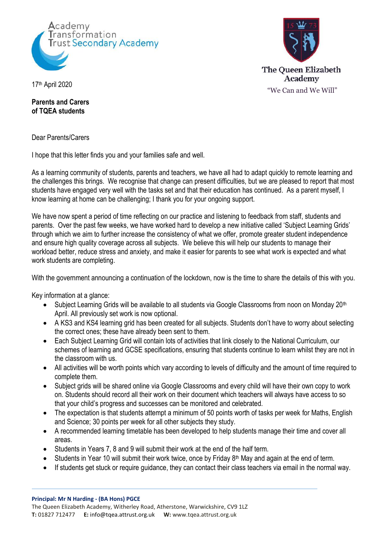



17th April 2020

**Parents and Carers of TQEA students**

Dear Parents/Carers

I hope that this letter finds you and your families safe and well.

As a learning community of students, parents and teachers, we have all had to adapt quickly to remote learning and the challenges this brings. We recognise that change can present difficulties, but we are pleased to report that most students have engaged very well with the tasks set and that their education has continued. As a parent myself, I know learning at home can be challenging; I thank you for your ongoing support.

We have now spent a period of time reflecting on our practice and listening to feedback from staff, students and parents. Over the past few weeks, we have worked hard to develop a new initiative called 'Subject Learning Grids' through which we aim to further increase the consistency of what we offer, promote greater student independence and ensure high quality coverage across all subjects. We believe this will help our students to manage their workload better, reduce stress and anxiety, and make it easier for parents to see what work is expected and what work students are completing.

With the government announcing a continuation of the lockdown, now is the time to share the details of this with you.

Key information at a glance:

- Subject Learning Grids will be available to all students via Google Classrooms from noon on Monday 20<sup>th</sup> April. All previously set work is now optional.
- A KS3 and KS4 learning grid has been created for all subjects. Students don't have to worry about selecting the correct ones; these have already been sent to them.
- Each Subject Learning Grid will contain lots of activities that link closely to the National Curriculum, our schemes of learning and GCSE specifications, ensuring that students continue to learn whilst they are not in the classroom with us.
- All activities will be worth points which vary according to levels of difficulty and the amount of time required to complete them.
- Subject grids will be shared online via Google Classrooms and every child will have their own copy to work on. Students should record all their work on their document which teachers will always have access to so that your child's progress and successes can be monitored and celebrated.
- The expectation is that students attempt a minimum of 50 points worth of tasks per week for Maths, English and Science; 30 points per week for all other subjects they study.
- A recommended learning timetable has been developed to help students manage their time and cover all areas.
- Students in Years 7, 8 and 9 will submit their work at the end of the half term.
- Students in Year 10 will submit their work twice, once by Friday 8<sup>th</sup> May and again at the end of term.
- If students get stuck or require guidance, they can contact their class teachers via email in the normal way.